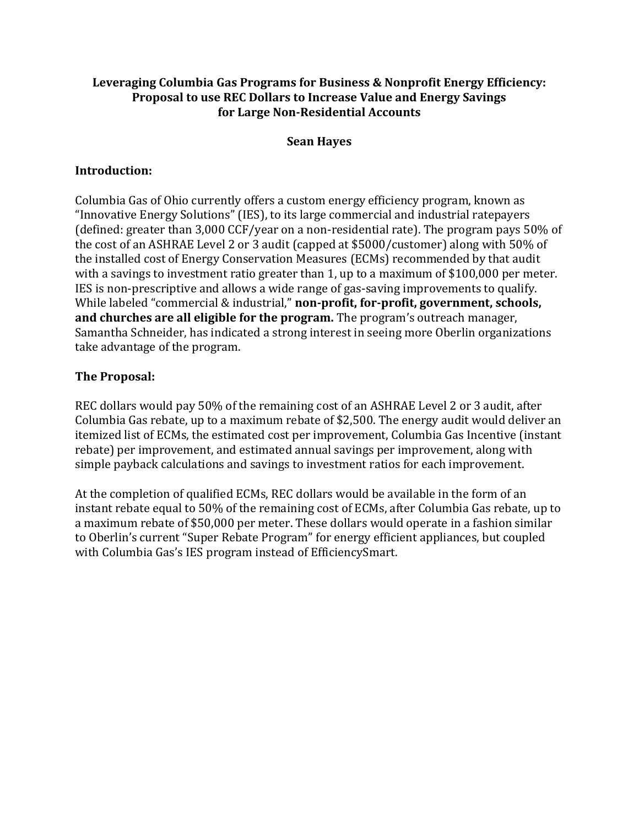## **Leveraging Columbia Gas Programs for Business & Nonprofit Energy Efficiency: Proposal to use REC Dollars to Increase Value and Energy Savings for Large Non-Residential Accounts**

#### **Sean Hayes**

## **Introduction:**

Columbia Gas of Ohio currently offers a custom energy efficiency program, known as "Innovative Energy Solutions" (IES), to its large commercial and industrial ratepayers (defined: greater than 3,000 CCF/year on a non-residential rate). The program pays 50% of the cost of an ASHRAE Level 2 or 3 audit (capped at \$5000/customer) along with 50% of the installed cost of Energy Conservation Measures (ECMs) recommended by that audit with a savings to investment ratio greater than 1, up to a maximum of \$100,000 per meter. IES is non-prescriptive and allows a wide range of gas-saving improvements to qualify. While labeled "commercial & industrial," **non-profit, for-profit, government, schools, and churches are all eligible for the program.** The program's outreach manager, Samantha Schneider, has indicated a strong interest in seeing more Oberlin organizations take advantage of the program.

## **The Proposal:**

REC dollars would pay 50% of the remaining cost of an ASHRAE Level 2 or 3 audit, after Columbia Gas rebate, up to a maximum rebate of \$2,500. The energy audit would deliver an itemized list of ECMs, the estimated cost per improvement, Columbia Gas Incentive (instant rebate) per improvement, and estimated annual savings per improvement, along with simple payback calculations and savings to investment ratios for each improvement.

At the completion of qualified ECMs, REC dollars would be available in the form of an instant rebate equal to 50% of the remaining cost of ECMs, after Columbia Gas rebate, up to a maximum rebate of \$50,000 per meter. These dollars would operate in a fashion similar to Oberlin's current "Super Rebate Program" for energy efficient appliances, but coupled with Columbia Gas's IES program instead of EfficiencySmart.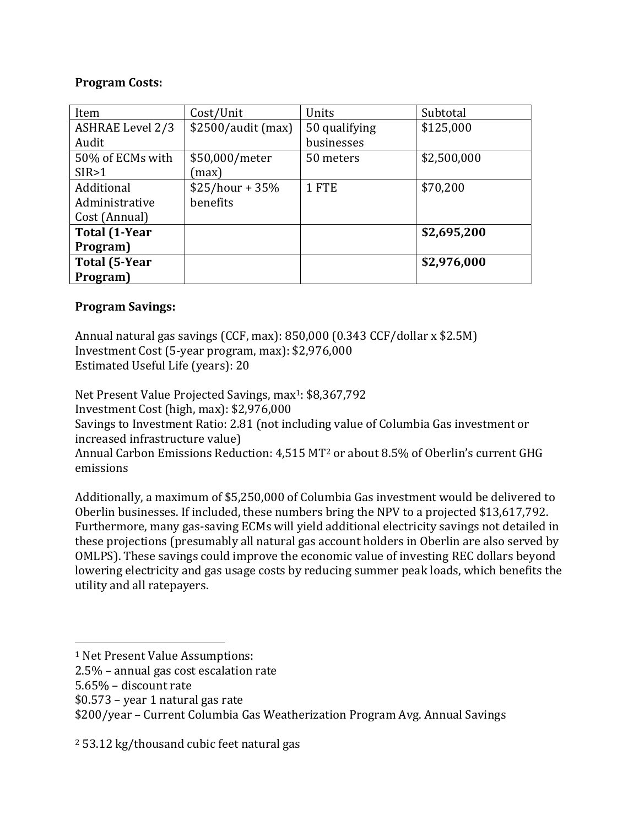### **Program Costs:**

| Item                 | Cost/Unit           | Units         | Subtotal    |
|----------------------|---------------------|---------------|-------------|
| ASHRAE Level 2/3     | $$2500/audit$ (max) | 50 qualifying | \$125,000   |
| Audit                |                     | businesses    |             |
| 50% of ECMs with     | \$50,000/meter      | 50 meters     | \$2,500,000 |
| SIR > 1              | max)                |               |             |
| Additional           | $$25/hour + 35%$    | 1 FTE         | \$70,200    |
| Administrative       | benefits            |               |             |
| Cost (Annual)        |                     |               |             |
| <b>Total (1-Year</b> |                     |               | \$2,695,200 |
| Program)             |                     |               |             |
| <b>Total (5-Year</b> |                     |               | \$2,976,000 |
| Program)             |                     |               |             |

## **Program Savings:**

Annual natural gas savings (CCF, max): 850,000 (0.343 CCF/dollar x \$2.5M) Investment Cost (5-year program, max): \$2,976,000 Estimated Useful Life (years): 20

Net Present Value Projected Savings, max<sup>1</sup>: \$8,367,792

Investment Cost (high, max): \$2,976,000

Savings to Investment Ratio: 2.81 (not including value of Columbia Gas investment or increased infrastructure value)

Annual Carbon Emissions Reduction: 4,515 MT<sup>2</sup> or about 8.5% of Oberlin's current GHG emissions

Additionally, a maximum of \$5,250,000 of Columbia Gas investment would be delivered to Oberlin businesses. If included, these numbers bring the NPV to a projected \$13,617,792. Furthermore, many gas-saving ECMs will yield additional electricity savings not detailed in these projections (presumably all natural gas account holders in Oberlin are also served by OMLPS). These savings could improve the economic value of investing REC dollars beyond lowering electricity and gas usage costs by reducing summer peak loads, which benefits the utility and all ratepayers.

 $\overline{a}$ <sup>1</sup> Net Present Value Assumptions:

<sup>2.5%</sup> – annual gas cost escalation rate

<sup>5.65%</sup> – discount rate

<sup>\$0.573</sup> – year 1 natural gas rate

<sup>\$200/</sup>year – Current Columbia Gas Weatherization Program Avg. Annual Savings

<sup>2</sup> 53.12 kg/thousand cubic feet natural gas